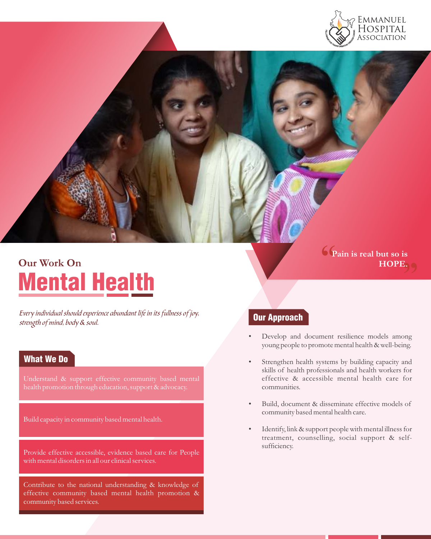

# Mental Health **Our Work On**

Every individual should experience abundant life in its fullness of joy, strength of mind, body & soul.

# What We Do

Understand & support effective community based mental health promotion through education, support & advocacy.

Build capacity in community based mental health.

Provide effective accessible, evidence based care for People with mental disorders in all our clinical services.

Contribute to the national understanding & knowledge of effective community based mental health promotion & community based services.

**" Pain is real but so is**  s<br>") 9 **HOPE.**

# Our Approach

- Develop and document resilience models among young people to promote mental health & well-being.
- Strengthen health systems by building capacity and skills of health professionals and health workers for effective & accessible mental health care for communities.
- Build, document & disseminate effective models of community based mental health care.
- Identify, link & support people with mental illness for treatment, counselling, social support & selfsufficiency.